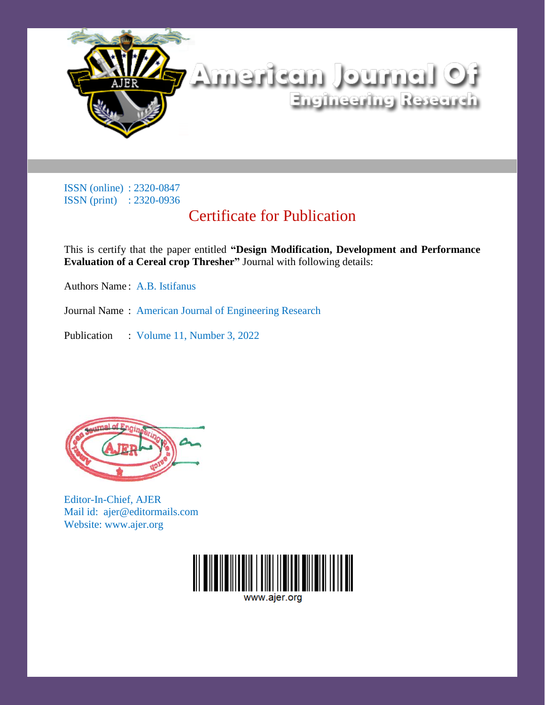

## Certificate for Publication

This is certify that the paper entitled **"Design Modification, Development and Performance Evaluation of a Cereal crop Thresher"** Journal with following details:

Authors Name : A.B. Istifanus

Journal Name : American Journal of Engineering Research

Publication : Volume 11, Number 3, 2022



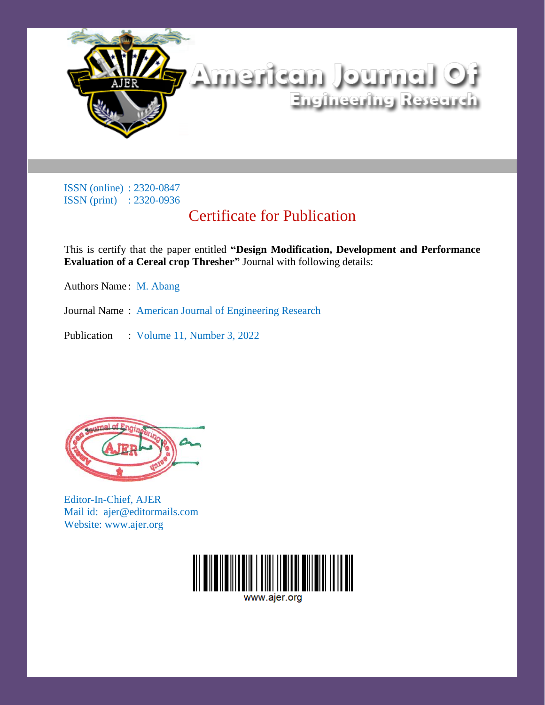

## Certificate for Publication

This is certify that the paper entitled **"Design Modification, Development and Performance Evaluation of a Cereal crop Thresher"** Journal with following details:

Authors Name : M. Abang

Journal Name : American Journal of Engineering Research

Publication : Volume 11, Number 3, 2022



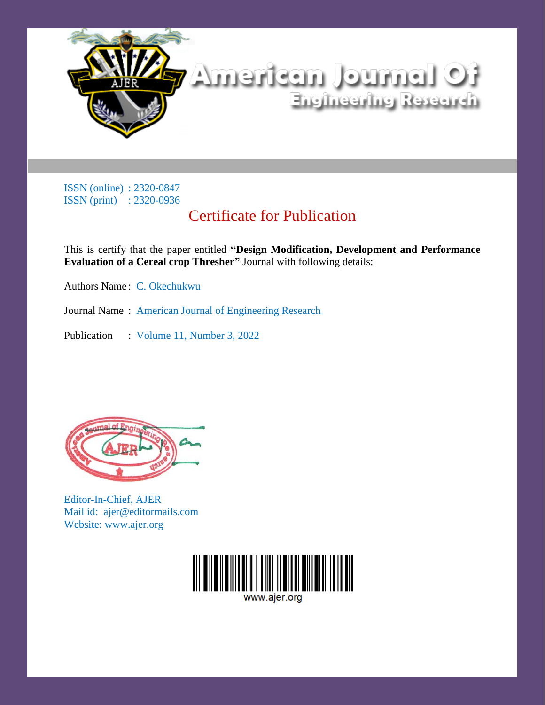

## Certificate for Publication

This is certify that the paper entitled **"Design Modification, Development and Performance Evaluation of a Cereal crop Thresher"** Journal with following details:

Authors Name : C. Okechukwu

Journal Name : American Journal of Engineering Research

Publication : Volume 11, Number 3, 2022